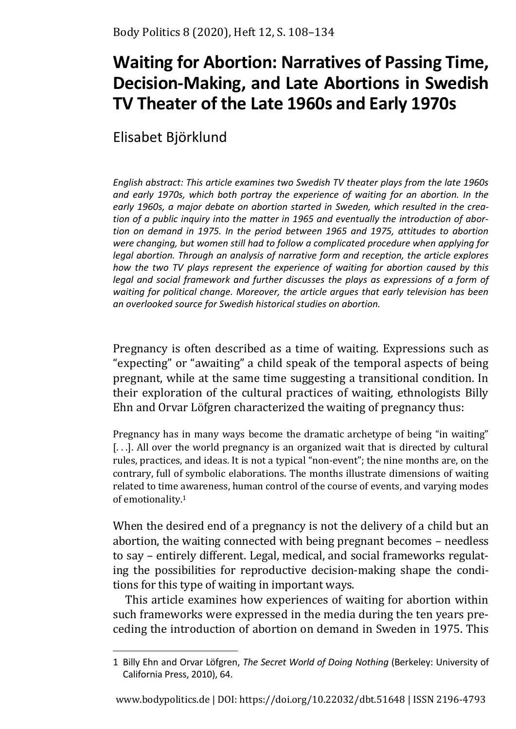# **Waiting for Abortion: Narratives of Passing Time, Decision-Making, and Late Abortions in Swedish TV Theater of the Late 1960s and Early 1970s**

Elisabet Björklund

*English abstract: This article examines two Swedish TV theater plays from the late 1960s and early 1970s, which both portray the experience of waiting for an abortion. In the early 1960s, a major debate on abortion started in Sweden, which resulted in the creation of a public inquiry into the matter in 1965 and eventually the introduction of abortion on demand in 1975. In the period between 1965 and 1975, attitudes to abortion were changing, but women still had to follow a complicated procedure when applying for legal abortion. Through an analysis of narrative form and reception, the article explores how the two TV plays represent the experience of waiting for abortion caused by this legal and social framework and further discusses the plays as expressions of a form of waiting for political change. Moreover, the article argues that early television has been an overlooked source for Swedish historical studies on abortion.* 

Pregnancy is often described as a time of waiting. Expressions such as "expecting" or "awaiting" a child speak of the temporal aspects of being pregnant, while at the same time suggesting a transitional condition. In their exploration of the cultural practices of waiting, ethnologists Billy Ehn and Orvar Löfgren characterized the waiting of pregnancy thus:

Pregnancy has in many ways become the dramatic archetype of being "in waiting" [...]. All over the world pregnancy is an organized wait that is directed by cultural rules, practices, and ideas. It is not a typical "non-event"; the nine months are, on the contrary, full of symbolic elaborations. The months illustrate dimensions of waiting related to time awareness, human control of the course of events, and varying modes of emotionality.<sup>1</sup>

When the desired end of a pregnancy is not the delivery of a child but an abortion, the waiting connected with being pregnant becomes – needless to say – entirely different. Legal, medical, and social frameworks regulating the possibilities for reproductive decision-making shape the conditions for this type of waiting in important ways.

This article examines how experiences of waiting for abortion within such frameworks were expressed in the media during the ten years preceding the introduction of abortion on demand in Sweden in 1975. This

<sup>1</sup> Billy Ehn and Orvar Löfgren, *The Secret World of Doing Nothing* (Berkeley: University of California Press, 2010), 64.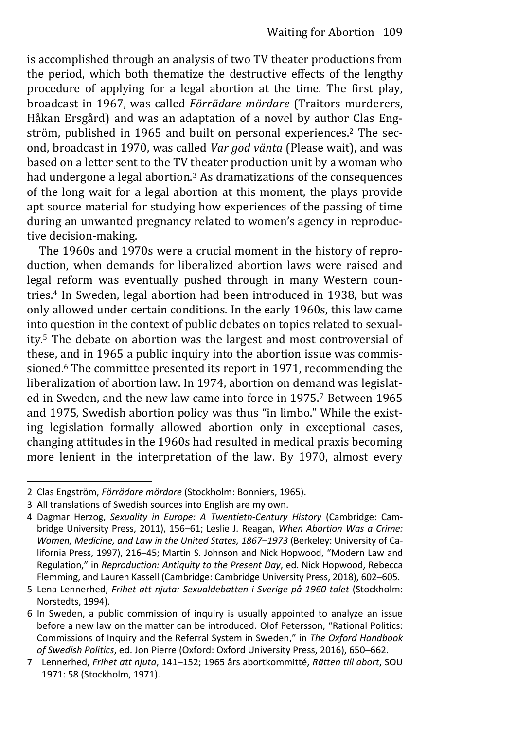is accomplished through an analysis of two TV theater productions from the period, which both thematize the destructive effects of the lengthy procedure of applying for a legal abortion at the time. The first play, broadcast in 1967, was called *Förrädare mördare* (Traitors murderers, Håkan Ersgård) and was an adaptation of a novel by author Clas Engström, published in 1965 and built on personal experiences.2 The second, broadcast in 1970, was called *Var god vänta* (Please wait), and was based on a letter sent to the TV theater production unit by a woman who had undergone a legal abortion.3 As dramatizations of the consequences of the long wait for a legal abortion at this moment, the plays provide apt source material for studying how experiences of the passing of time during an unwanted pregnancy related to women's agency in reproductive decision-making.

The 1960s and 1970s were a crucial moment in the history of reproduction, when demands for liberalized abortion laws were raised and legal reform was eventually pushed through in many Western countries.4 In Sweden, legal abortion had been introduced in 1938, but was only allowed under certain conditions. In the early 1960s, this law came into question in the context of public debates on topics related to sexuality.5 The debate on abortion was the largest and most controversial of these, and in 1965 a public inquiry into the abortion issue was commissioned.6 The committee presented its report in 1971, recommending the liberalization of abortion law. In 1974, abortion on demand was legislated in Sweden, and the new law came into force in 1975.7 Between 1965 and 1975, Swedish abortion policy was thus "in limbo." While the existing legislation formally allowed abortion only in exceptional cases, changing attitudes in the 1960s had resulted in medical praxis becoming more lenient in the interpretation of the law. By 1970, almost every

<sup>2</sup> Clas Engström, *Förrädare mördare* (Stockholm: Bonniers, 1965).

<sup>3</sup> All translations of Swedish sources into English are my own.

<sup>4</sup> Dagmar Herzog, *Sexuality in Europe: A Twentieth-Century History* (Cambridge: Cambridge University Press, 2011), 156–61; Leslie J. Reagan, *When Abortion Was a Crime: Women, Medicine, and Law in the United States, 1867–1973* (Berkeley: University of California Press, 1997), 216–45; Martin S. Johnson and Nick Hopwood, "Modern Law and Regulation," in *Reproduction: Antiquity to the Present Day*, ed. Nick Hopwood, Rebecca Flemming, and Lauren Kassell (Cambridge: Cambridge University Press, 2018), 602–605.

<sup>5</sup> Lena Lennerhed, *Frihet att njuta: Sexualdebatten i Sverige på 1960-talet* (Stockholm: Norstedts, 1994).

<sup>6</sup> In Sweden, a public commission of inquiry is usually appointed to analyze an issue before a new law on the matter can be introduced. Olof Petersson, "Rational Politics: Commissions of Inquiry and the Referral System in Sweden," in *The Oxford Handbook of Swedish Politics*, ed. Jon Pierre (Oxford: Oxford University Press, 2016), 650–662.

<sup>7</sup> Lennerhed, *Frihet att njuta*, 141–152; 1965 års abortkommitté, *Rätten till abort*, SOU 1971: 58 (Stockholm, 1971).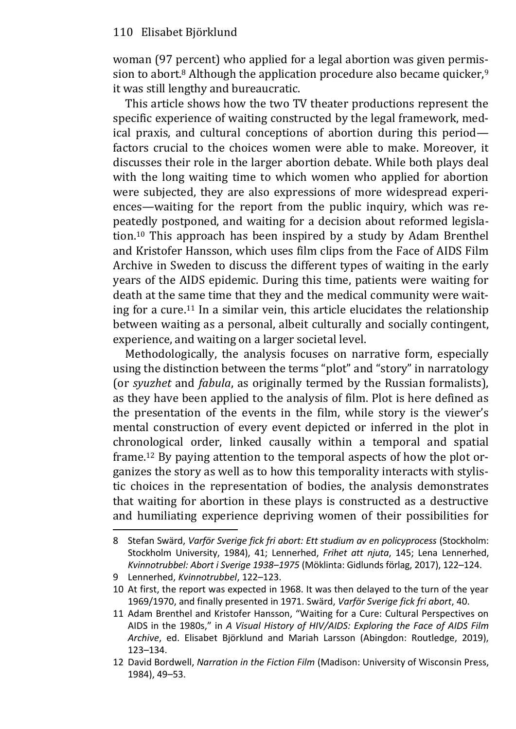woman (97 percent) who applied for a legal abortion was given permission to abort.<sup>8</sup> Although the application procedure also became quicker,  $9$ it was still lengthy and bureaucratic.

This article shows how the two TV theater productions represent the specific experience of waiting constructed by the legal framework, medical praxis, and cultural conceptions of abortion during this period factors crucial to the choices women were able to make. Moreover, it discusses their role in the larger abortion debate. While both plays deal with the long waiting time to which women who applied for abortion were subjected, they are also expressions of more widespread experiences—waiting for the report from the public inquiry, which was repeatedly postponed, and waiting for a decision about reformed legislation.10 This approach has been inspired by a study by Adam Brenthel and Kristofer Hansson, which uses film clips from the Face of AIDS Film Archive in Sweden to discuss the different types of waiting in the early years of the AIDS epidemic. During this time, patients were waiting for death at the same time that they and the medical community were waiting for a cure.11 In a similar vein, this article elucidates the relationship between waiting as a personal, albeit culturally and socially contingent, experience, and waiting on a larger societal level.

Methodologically, the analysis focuses on narrative form, especially using the distinction between the terms "plot" and "story" in narratology (or *syuzhet* and *fabula*, as originally termed by the Russian formalists), as they have been applied to the analysis of film. Plot is here defined as the presentation of the events in the film, while story is the viewer's mental construction of every event depicted or inferred in the plot in chronological order, linked causally within a temporal and spatial frame.12 By paying attention to the temporal aspects of how the plot organizes the story as well as to how this temporality interacts with stylistic choices in the representation of bodies, the analysis demonstrates that waiting for abortion in these plays is constructed as a destructive and humiliating experience depriving women of their possibilities for

<sup>8</sup> Stefan Swärd, *Varför Sverige fick fri abort: Ett studium av en policyprocess* (Stockholm: Stockholm University, 1984), 41; Lennerhed, *Frihet att njuta*, 145; Lena Lennerhed, *Kvinnotrubbel: Abort i Sverige 1938–1975* (Möklinta: Gidlunds förlag, 2017), 122–124.

<sup>9</sup> Lennerhed, *Kvinnotrubbel*, 122–123.

<sup>10</sup> At first, the report was expected in 1968. It was then delayed to the turn of the year 1969/1970, and finally presented in 1971. Swärd, *Varför Sverige fick fri abort*, 40.

<sup>11</sup> Adam Brenthel and Kristofer Hansson, "Waiting for a Cure: Cultural Perspectives on AIDS in the 1980s," in *A Visual History of HIV/AIDS: Exploring the Face of AIDS Film Archive*, ed. Elisabet Björklund and Mariah Larsson (Abingdon: Routledge, 2019), 123–134.

<sup>12</sup> David Bordwell, *Narration in the Fiction Film* (Madison: University of Wisconsin Press, 1984), 49–53.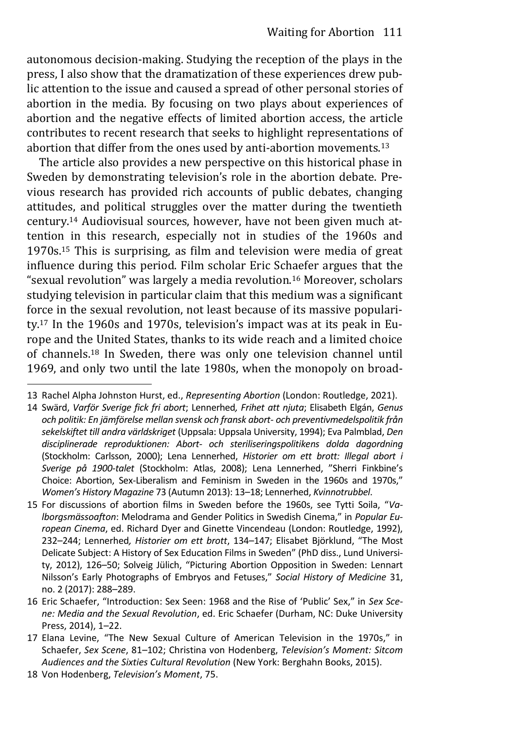autonomous decision-making. Studying the reception of the plays in the press, I also show that the dramatization of these experiences drew public attention to the issue and caused a spread of other personal stories of abortion in the media. By focusing on two plays about experiences of abortion and the negative effects of limited abortion access, the article contributes to recent research that seeks to highlight representations of abortion that differ from the ones used by anti-abortion movements.<sup>13</sup>

The article also provides a new perspective on this historical phase in Sweden by demonstrating television's role in the abortion debate. Previous research has provided rich accounts of public debates, changing attitudes, and political struggles over the matter during the twentieth century.14 Audiovisual sources, however, have not been given much attention in this research, especially not in studies of the 1960s and 1970s.15 This is surprising, as film and television were media of great influence during this period. Film scholar Eric Schaefer argues that the "sexual revolution" was largely a media revolution.<sup>16</sup> Moreover, scholars studying television in particular claim that this medium was a significant force in the sexual revolution, not least because of its massive popularity.17 In the 1960s and 1970s, television's impact was at its peak in Europe and the United States, thanks to its wide reach and a limited choice of channels.18 In Sweden, there was only one television channel until 1969, and only two until the late 1980s, when the monopoly on broad-

<sup>13</sup> Rachel Alpha Johnston Hurst, ed., *Representing Abortion* (London: Routledge, 2021).

<sup>14</sup> Swärd, *Varför Sverige fick fri abort*; Lennerhed*, Frihet att njuta*; Elisabeth Elgán, *Genus och politik: En jämförelse mellan svensk och fransk abort- och preventivmedelspolitik från sekelskiftet till andra världskriget* (Uppsala: Uppsala University, 1994); Eva Palmblad, *Den disciplinerade reproduktionen: Abort- och steriliseringspolitikens dolda dagordning* (Stockholm: Carlsson, 2000); Lena Lennerhed, *Historier om ett brott: Illegal abort i Sverige på 1900-talet* (Stockholm: Atlas, 2008); Lena Lennerhed, "Sherri Finkbine's Choice: Abortion, Sex-Liberalism and Feminism in Sweden in the 1960s and 1970s," *Women's History Magazine* 73 (Autumn 2013): 13–18; Lennerhed, *Kvinnotrubbel*.

<sup>15</sup> For discussions of abortion films in Sweden before the 1960s, see Tytti Soila, "*Valborgsmässoafton*: Melodrama and Gender Politics in Swedish Cinema," in *Popular European Cinema*, ed. Richard Dyer and Ginette Vincendeau (London: Routledge, 1992), 232–244; Lennerhed*, Historier om ett brott*, 134–147; Elisabet Björklund, "The Most Delicate Subject: A History of Sex Education Films in Sweden" (PhD diss., Lund University, 2012), 126–50; Solveig Jülich, "Picturing Abortion Opposition in Sweden: Lennart Nilsson's Early Photographs of Embryos and Fetuses," *Social History of Medicine* 31, no. 2 (2017): 288–289.

<sup>16</sup> Eric Schaefer, "Introduction: Sex Seen: 1968 and the Rise of 'Public' Sex," in *Sex Scene: Media and the Sexual Revolution*, ed. Eric Schaefer (Durham, NC: Duke University Press, 2014), 1–22.

<sup>17</sup> Elana Levine, "The New Sexual Culture of American Television in the 1970s," in Schaefer, *Sex Scene*, 81–102; Christina von Hodenberg, *Television's Moment: Sitcom Audiences and the Sixties Cultural Revolution* (New York: Berghahn Books, 2015).

<sup>18</sup> Von Hodenberg, *Television's Moment*, 75.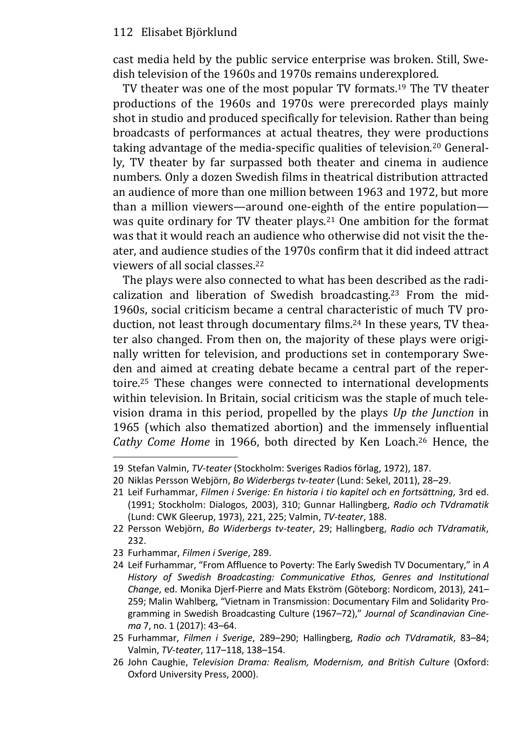cast media held by the public service enterprise was broken. Still, Swedish television of the 1960s and 1970s remains underexplored.

TV theater was one of the most popular TV formats.19 The TV theater productions of the 1960s and 1970s were prerecorded plays mainly shot in studio and produced specifically for television. Rather than being broadcasts of performances at actual theatres, they were productions taking advantage of the media-specific qualities of television.20 Generally, TV theater by far surpassed both theater and cinema in audience numbers. Only a dozen Swedish films in theatrical distribution attracted an audience of more than one million between 1963 and 1972, but more than a million viewers—around one-eighth of the entire population was quite ordinary for TV theater plays.<sup>21</sup> One ambition for the format was that it would reach an audience who otherwise did not visit the theater, and audience studies of the 1970s confirm that it did indeed attract viewers of all social classes.<sup>22</sup>

The plays were also connected to what has been described as the radicalization and liberation of Swedish broadcasting.<sup>23</sup> From the mid-1960s, social criticism became a central characteristic of much TV production, not least through documentary films.24 In these years, TV theater also changed. From then on, the majority of these plays were originally written for television, and productions set in contemporary Sweden and aimed at creating debate became a central part of the repertoire.25 These changes were connected to international developments within television. In Britain, social criticism was the staple of much television drama in this period, propelled by the plays *Up the Junction* in 1965 (which also thematized abortion) and the immensely influential *Cathy Come Home* in 1966, both directed by Ken Loach.26 Hence, the

23 Furhammar, *Filmen i Sverige*, 289.

<sup>19</sup> Stefan Valmin, *TV-teater* (Stockholm: Sveriges Radios förlag, 1972), 187.

<sup>20</sup> Niklas Persson Webjörn, *Bo Widerbergs tv-teater* (Lund: Sekel, 2011), 28–29.

<sup>21</sup> Leif Furhammar, *Filmen i Sverige: En historia i tio kapitel och en fortsättning*, 3rd ed. (1991; Stockholm: Dialogos, 2003), 310; Gunnar Hallingberg, *Radio och TVdramatik* (Lund: CWK Gleerup, 1973), 221, 225; Valmin, *TV-teater*, 188.

<sup>22</sup> Persson Webjörn, *Bo Widerbergs tv-teater*, 29; Hallingberg, *Radio och TVdramatik*, 232.

<sup>24</sup> Leif Furhammar, "From Affluence to Poverty: The Early Swedish TV Documentary," in *A History of Swedish Broadcasting: Communicative Ethos, Genres and Institutional Change*, ed. Monika Djerf-Pierre and Mats Ekström (Göteborg: Nordicom, 2013), 241– 259; Malin Wahlberg, "Vietnam in Transmission: Documentary Film and Solidarity Pro‐ gramming in Swedish Broadcasting Culture (1967–72)," *Journal of Scandinavian Cinema* 7, no. 1 (2017): 43–64.

<sup>25</sup> Furhammar, *Filmen i Sverige*, 289–290; Hallingberg, *Radio och TVdramatik*, 83–84; Valmin, *TV-teater*, 117–118, 138–154.

<sup>26</sup> John Caughie, *Television Drama: Realism, Modernism, and British Culture* (Oxford: Oxford University Press, 2000).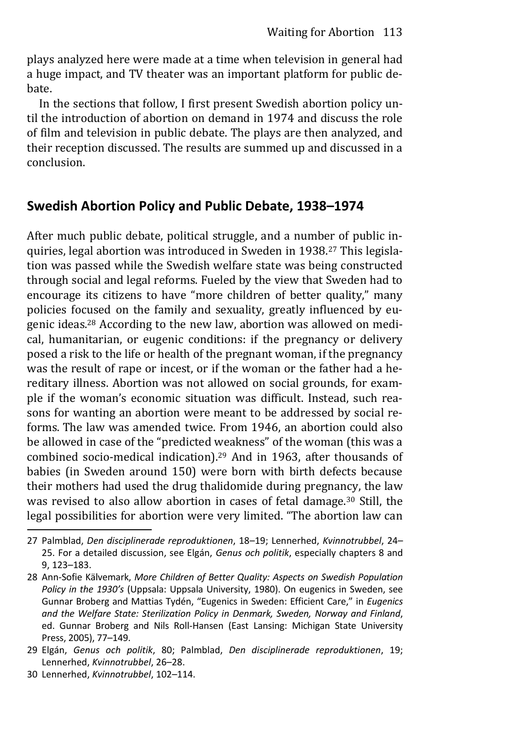plays analyzed here were made at a time when television in general had a huge impact, and TV theater was an important platform for public debate.

In the sections that follow, I first present Swedish abortion policy until the introduction of abortion on demand in 1974 and discuss the role of film and television in public debate. The plays are then analyzed, and their reception discussed. The results are summed up and discussed in a conclusion.

## **Swedish Abortion Policy and Public Debate, 1938–1974**

After much public debate, political struggle, and a number of public inquiries, legal abortion was introduced in Sweden in 1938.27 This legislation was passed while the Swedish welfare state was being constructed through social and legal reforms. Fueled by the view that Sweden had to encourage its citizens to have "more children of better quality," many policies focused on the family and sexuality, greatly influenced by eugenic ideas.28 According to the new law, abortion was allowed on medical, humanitarian, or eugenic conditions: if the pregnancy or delivery posed a risk to the life or health of the pregnant woman, if the pregnancy was the result of rape or incest, or if the woman or the father had a hereditary illness. Abortion was not allowed on social grounds, for example if the woman's economic situation was difficult. Instead, such reasons for wanting an abortion were meant to be addressed by social reforms. The law was amended twice. From 1946, an abortion could also be allowed in case of the "predicted weakness" of the woman (this was a combined socio-medical indication).29 And in 1963, after thousands of babies (in Sweden around 150) were born with birth defects because their mothers had used the drug thalidomide during pregnancy, the law was revised to also allow abortion in cases of fetal damage.30 Still, the legal possibilities for abortion were very limited. "The abortion law can

<sup>27</sup> Palmblad, *Den disciplinerade reproduktionen*, 18–19; Lennerhed, *Kvinnotrubbel*, 24– 25. For a detailed discussion, see Elgán, *Genus och politik*, especially chapters 8 and 9, 123–183.

<sup>28</sup> Ann-Sofie Kälvemark, *More Children of Better Quality: Aspects on Swedish Population Policy in the 1930's* (Uppsala: Uppsala University, 1980). On eugenics in Sweden, see Gunnar Broberg and Mattias Tydén, "Eugenics in Sweden: Efficient Care," in *Eugenics and the Welfare State: Sterilization Policy in Denmark, Sweden, Norway and Finland*, ed. Gunnar Broberg and Nils Roll-Hansen (East Lansing: Michigan State University Press, 2005), 77–149.

<sup>29</sup> Elgán, *Genus och politik*, 80; Palmblad, *Den disciplinerade reproduktionen*, 19; Lennerhed, *Kvinnotrubbel*, 26–28.

<sup>30</sup> Lennerhed, *Kvinnotrubbel*, 102–114.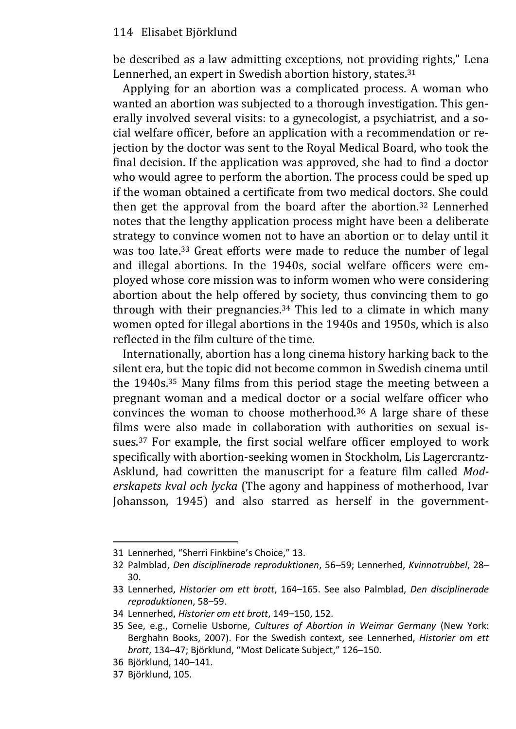be described as a law admitting exceptions, not providing rights," Lena Lennerhed, an expert in Swedish abortion history, states.<sup>31</sup>

Applying for an abortion was a complicated process. A woman who wanted an abortion was subjected to a thorough investigation. This generally involved several visits: to a gynecologist, a psychiatrist, and a social welfare officer, before an application with a recommendation or rejection by the doctor was sent to the Royal Medical Board, who took the final decision. If the application was approved, she had to find a doctor who would agree to perform the abortion. The process could be sped up if the woman obtained a certificate from two medical doctors. She could then get the approval from the board after the abortion.32 Lennerhed notes that the lengthy application process might have been a deliberate strategy to convince women not to have an abortion or to delay until it was too late.<sup>33</sup> Great efforts were made to reduce the number of legal and illegal abortions. In the 1940s, social welfare officers were employed whose core mission was to inform women who were considering abortion about the help offered by society, thus convincing them to go through with their pregnancies.34 This led to a climate in which many women opted for illegal abortions in the 1940s and 1950s, which is also reflected in the film culture of the time.

Internationally, abortion has a long cinema history harking back to the silent era, but the topic did not become common in Swedish cinema until the 1940s.35 Many films from this period stage the meeting between a pregnant woman and a medical doctor or a social welfare officer who convinces the woman to choose motherhood.36 A large share of these films were also made in collaboration with authorities on sexual issues.37 For example, the first social welfare officer employed to work specifically with abortion-seeking women in Stockholm, Lis Lagercrantz-Asklund, had cowritten the manuscript for a feature film called *Moderskapets kval och lycka* (The agony and happiness of motherhood, Ivar Johansson, 1945) and also starred as herself in the government-

37 Björklund, 105.

<sup>31</sup> Lennerhed, "Sherri Finkbine's Choice," 13.

<sup>32</sup> Palmblad, *Den disciplinerade reproduktionen*, 56–59; Lennerhed, *Kvinnotrubbel*, 28– 30.

<sup>33</sup> Lennerhed, *Historier om ett brott*, 164–165. See also Palmblad, *Den disciplinerade reproduktionen*, 58–59.

<sup>34</sup> Lennerhed, *Historier om ett brott*, 149–150, 152.

<sup>35</sup> See, e.g., Cornelie Usborne, *Cultures of Abortion in Weimar Germany* (New York: Berghahn Books, 2007). For the Swedish context, see Lennerhed, *Historier om ett brott*, 134–47; Björklund, "Most Delicate Subject," 126–150.

<sup>36</sup> Björklund, 140–141.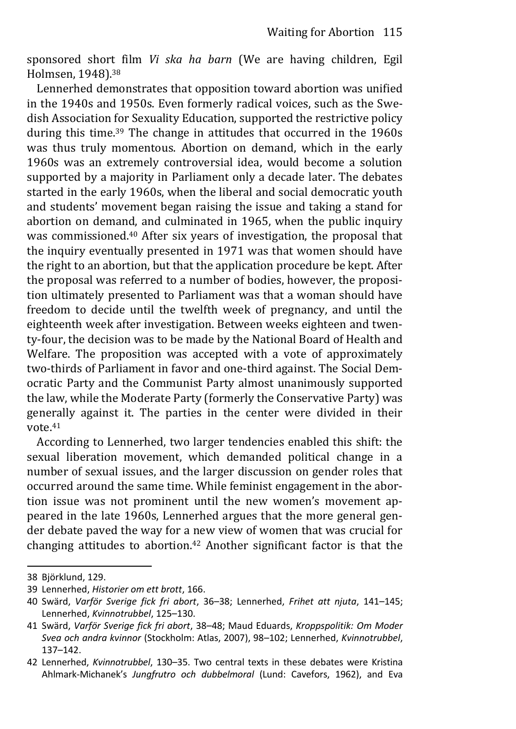sponsored short film *Vi ska ha barn* (We are having children, Egil Holmsen, 1948).<sup>38</sup>

Lennerhed demonstrates that opposition toward abortion was unified in the 1940s and 1950s. Even formerly radical voices, such as the Swedish Association for Sexuality Education, supported the restrictive policy during this time.39 The change in attitudes that occurred in the 1960s was thus truly momentous. Abortion on demand, which in the early 1960s was an extremely controversial idea, would become a solution supported by a majority in Parliament only a decade later. The debates started in the early 1960s, when the liberal and social democratic youth and students' movement began raising the issue and taking a stand for abortion on demand, and culminated in 1965, when the public inquiry was commissioned.40 After six years of investigation, the proposal that the inquiry eventually presented in 1971 was that women should have the right to an abortion, but that the application procedure be kept. After the proposal was referred to a number of bodies, however, the proposition ultimately presented to Parliament was that a woman should have freedom to decide until the twelfth week of pregnancy, and until the eighteenth week after investigation. Between weeks eighteen and twenty-four, the decision was to be made by the National Board of Health and Welfare. The proposition was accepted with a vote of approximately two-thirds of Parliament in favor and one-third against. The Social Democratic Party and the Communist Party almost unanimously supported the law, while the Moderate Party (formerly the Conservative Party) was generally against it. The parties in the center were divided in their vote.<sup>41</sup>

According to Lennerhed, two larger tendencies enabled this shift: the sexual liberation movement, which demanded political change in a number of sexual issues, and the larger discussion on gender roles that occurred around the same time. While feminist engagement in the abortion issue was not prominent until the new women's movement appeared in the late 1960s, Lennerhed argues that the more general gender debate paved the way for a new view of women that was crucial for changing attitudes to abortion.42 Another significant factor is that the

<sup>38</sup> Björklund, 129.

<sup>39</sup> Lennerhed, *Historier om ett brott*, 166.

<sup>40</sup> Swärd, *Varför Sverige fick fri abort*, 36–38; Lennerhed, *Frihet att njuta*, 141–145; Lennerhed, *Kvinnotrubbel*, 125–130.

<sup>41</sup> Swärd, *Varför Sverige fick fri abort*, 38–48; Maud Eduards, *Kroppspolitik: Om Moder Svea och andra kvinnor* (Stockholm: Atlas, 2007), 98–102; Lennerhed, *Kvinnotrubbel*, 137–142.

<sup>42</sup> Lennerhed, *Kvinnotrubbel*, 130–35. Two central texts in these debates were Kristina Ahlmark-Michanek's *Jungfrutro och dubbelmoral* (Lund: Cavefors, 1962), and Eva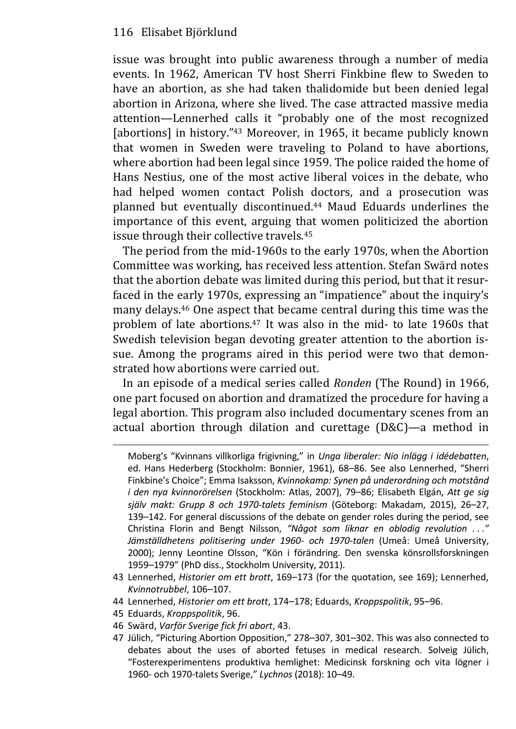issue was brought into public awareness through a number of media events. In 1962, American TV host Sherri Finkbine flew to Sweden to have an abortion, as she had taken thalidomide but been denied legal abortion in Arizona, where she lived. The case attracted massive media attention—Lennerhed calls it "probably one of the most recognized [abortions] in history."<sup>43</sup> Moreover, in 1965, it became publicly known that women in Sweden were traveling to Poland to have abortions, where abortion had been legal since 1959. The police raided the home of Hans Nestius, one of the most active liberal voices in the debate, who had helped women contact Polish doctors, and a prosecution was planned but eventually discontinued.44 Maud Eduards underlines the importance of this event, arguing that women politicized the abortion issue through their collective travels.<sup>45</sup>

The period from the mid-1960s to the early 1970s, when the Abortion Committee was working, has received less attention. Stefan Swärd notes that the abortion debate was limited during this period, but that it resurfaced in the early 1970s, expressing an "impatience" about the inquiry's many delays.46 One aspect that became central during this time was the problem of late abortions.47 It was also in the mid- to late 1960s that Swedish television began devoting greater attention to the abortion issue. Among the programs aired in this period were two that demonstrated how abortions were carried out.

In an episode of a medical series called *Ronden* (The Round) in 1966, one part focused on abortion and dramatized the procedure for having a legal abortion. This program also included documentary scenes from an actual abortion through dilation and curettage (D&C)—a method in

- 44 Lennerhed, *Historier om ett brott*, 174–178; Eduards, *Kroppspolitik*, 95–96.
- 45 Eduards, *Kroppspolitik*, 96.
- 46 Swärd, *Varför Sverige fick fri abort*, 43.
- 47 Jülich, "Picturing Abortion Opposition," 278–307, 301–302. This was also connected to debates about the uses of aborted fetuses in medical research. Solveig Jülich, "Fosterexperimentens produktiva hemlighet: Medicinsk forskning och vita lögner i 1960- och 1970-talets Sverige," *Lychnos* (2018): 10–49.

Moberg's "Kvinnans villkorliga frigivning," in *Unga liberaler: Nio inlägg i idédebatten*, ed. Hans Hederberg (Stockholm: Bonnier, 1961), 68–86. See also Lennerhed, "Sherri Finkbine's Choice"; Emma Isaksson, *Kvinnokamp: Synen på underordning och motstånd i den nya kvinnorörelsen* (Stockholm: Atlas, 2007), 79–86; Elisabeth Elgán, *Att ge sig själv makt: Grupp 8 och 1970-talets feminism* (Göteborg: Makadam, 2015), 26–27, 139–142. For general discussions of the debate on gender roles during the period, see Christina Florin and Bengt Nilsson, *"Något som liknar en oblodig revolution . . ." Jämställdhetens politisering under 1960- och 1970-talen* (Umeå: Umeå University, 2000); Jenny Leontine Olsson, "Kön i förändring. Den svenska könsrollsforskningen 1959–1979" (PhD diss., Stockholm University, 2011).

<sup>43</sup> Lennerhed, *Historier om ett brott*, 169–173 (for the quotation, see 169); Lennerhed, *Kvinnotrubbel*, 106–107.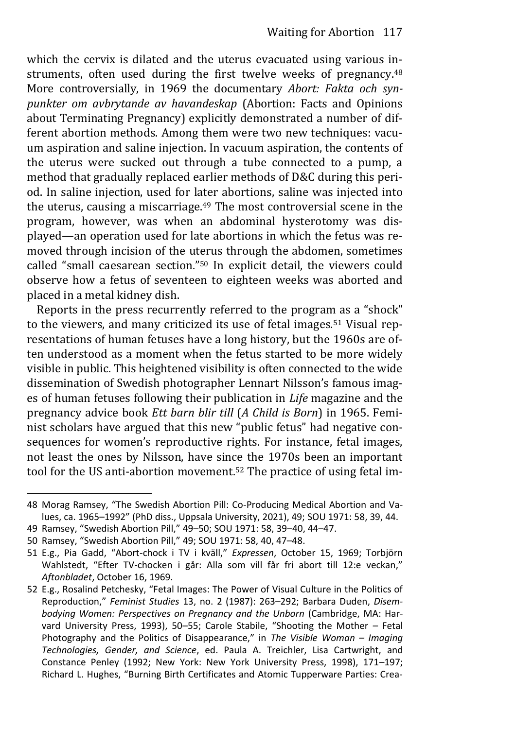which the cervix is dilated and the uterus evacuated using various instruments, often used during the first twelve weeks of pregnancy.<sup>48</sup> More controversially, in 1969 the documentary *Abort: Fakta och synpunkter om avbrytande av havandeskap* (Abortion: Facts and Opinions about Terminating Pregnancy) explicitly demonstrated a number of different abortion methods. Among them were two new techniques: vacuum aspiration and saline injection. In vacuum aspiration, the contents of the uterus were sucked out through a tube connected to a pump, a method that gradually replaced earlier methods of D&C during this period. In saline injection, used for later abortions, saline was injected into the uterus, causing a miscarriage.49 The most controversial scene in the program, however, was when an abdominal hysterotomy was displayed—an operation used for late abortions in which the fetus was removed through incision of the uterus through the abdomen, sometimes called "small caesarean section."<sup>50</sup> In explicit detail, the viewers could observe how a fetus of seventeen to eighteen weeks was aborted and placed in a metal kidney dish.

Reports in the press recurrently referred to the program as a "shock" to the viewers, and many criticized its use of fetal images.<sup>51</sup> Visual representations of human fetuses have a long history, but the 1960s are often understood as a moment when the fetus started to be more widely visible in public. This heightened visibility is often connected to the wide dissemination of Swedish photographer Lennart Nilsson's famous images of human fetuses following their publication in *Life* magazine and the pregnancy advice book *Ett barn blir till* (*A Child is Born*) in 1965. Feminist scholars have argued that this new "public fetus" had negative consequences for women's reproductive rights. For instance, fetal images, not least the ones by Nilsson, have since the 1970s been an important tool for the US anti-abortion movement.52 The practice of using fetal im-

<sup>48</sup> Morag Ramsey, "The Swedish Abortion Pill: Co-Producing Medical Abortion and Values, ca. 1965–1992" (PhD diss., Uppsala University, 2021), 49; SOU 1971: 58, 39, 44.

<sup>49</sup> Ramsey, "Swedish Abortion Pill," 49–50; SOU 1971: 58, 39–40, 44–47.

<sup>50</sup> Ramsey, "Swedish Abortion Pill," 49; SOU 1971: 58, 40, 47–48.

<sup>51</sup> E.g., Pia Gadd, "Abort-chock i TV i kväll," *Expressen*, October 15, 1969; Torbjörn Wahlstedt, "Efter TV-chocken i går: Alla som vill får fri abort till 12:e veckan," *Aftonbladet*, October 16, 1969.

<sup>52</sup> E.g., Rosalind Petchesky, "Fetal Images: The Power of Visual Culture in the Politics of Reproduction," *Feminist Studies* 13, no. 2 (1987): 263–292; Barbara Duden, *Disembodying Women: Perspectives on Pregnancy and the Unborn* (Cambridge, MA: Harvard University Press, 1993), 50–55; Carole Stabile, "Shooting the Mother – Fetal Photography and the Politics of Disappearance," in *The Visible Woman – Imaging Technologies, Gender, and Science*, ed. Paula A. Treichler, Lisa Cartwright, and Constance Penley (1992; New York: New York University Press, 1998), 171–197; Richard L. Hughes, "Burning Birth Certificates and Atomic Tupperware Parties: Crea‐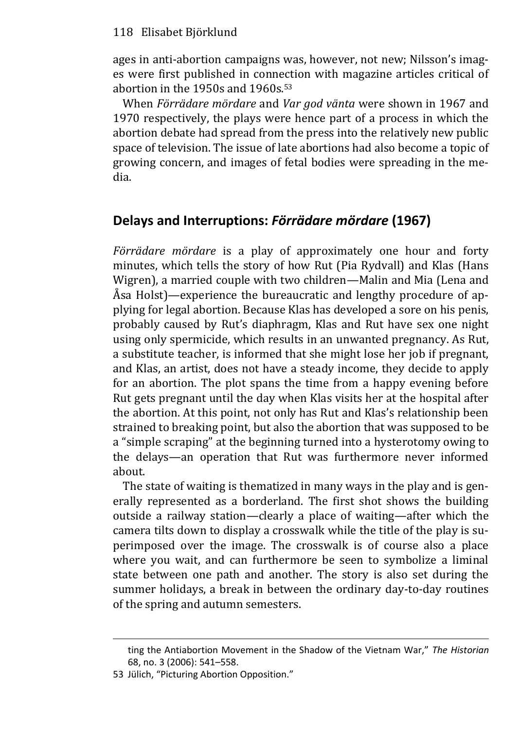ages in anti-abortion campaigns was, however, not new; Nilsson's images were first published in connection with magazine articles critical of abortion in the 1950s and 1960s.<sup>53</sup>

When *Förrädare mördare* and *Var god vänta* were shown in 1967 and 1970 respectively, the plays were hence part of a process in which the abortion debate had spread from the press into the relatively new public space of television. The issue of late abortions had also become a topic of growing concern, and images of fetal bodies were spreading in the media.

## **Delays and Interruptions:** *Förrädare mördare* **(1967)**

*Förrädare mördare* is a play of approximately one hour and forty minutes, which tells the story of how Rut (Pia Rydvall) and Klas (Hans Wigren), a married couple with two children—Malin and Mia (Lena and Åsa Holst)—experience the bureaucratic and lengthy procedure of applying for legal abortion. Because Klas has developed a sore on his penis, probably caused by Rut's diaphragm, Klas and Rut have sex one night using only spermicide, which results in an unwanted pregnancy. As Rut, a substitute teacher, is informed that she might lose her job if pregnant, and Klas, an artist, does not have a steady income, they decide to apply for an abortion. The plot spans the time from a happy evening before Rut gets pregnant until the day when Klas visits her at the hospital after the abortion. At this point, not only has Rut and Klas's relationship been strained to breaking point, but also the abortion that was supposed to be a "simple scraping" at the beginning turned into a hysterotomy owing to the delays—an operation that Rut was furthermore never informed about.

The state of waiting is thematized in many ways in the play and is generally represented as a borderland. The first shot shows the building outside a railway station—clearly a place of waiting—after which the camera tilts down to display a crosswalk while the title of the play is superimposed over the image. The crosswalk is of course also a place where you wait, and can furthermore be seen to symbolize a liminal state between one path and another. The story is also set during the summer holidays, a break in between the ordinary day-to-day routines of the spring and autumn semesters.

ting the Antiabortion Movement in the Shadow of the Vietnam War," *The Historian* 68, no. 3 (2006): 541–558.

<sup>53</sup> Jülich, "Picturing Abortion Opposition."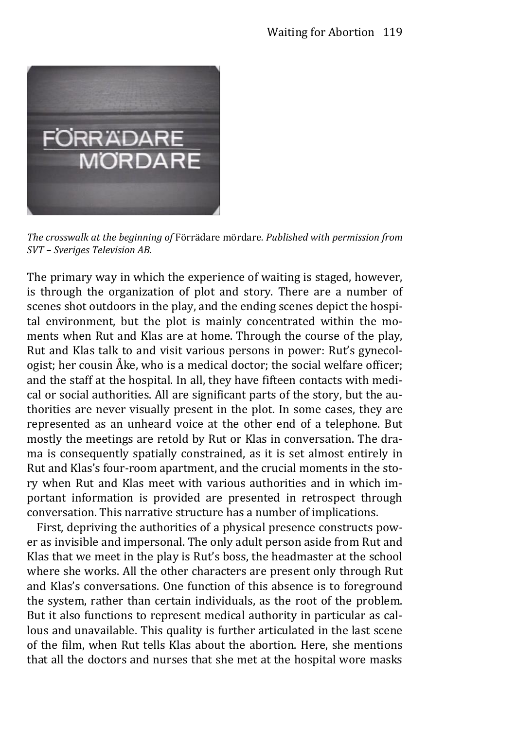

*The crosswalk at the beginning of* Förrädare mördare*. Published with permission from SVT – Sveriges Television AB.* 

The primary way in which the experience of waiting is staged, however, is through the organization of plot and story. There are a number of scenes shot outdoors in the play, and the ending scenes depict the hospital environment, but the plot is mainly concentrated within the moments when Rut and Klas are at home. Through the course of the play, Rut and Klas talk to and visit various persons in power: Rut's gynecologist; her cousin Åke, who is a medical doctor; the social welfare officer; and the staff at the hospital. In all, they have fifteen contacts with medical or social authorities. All are significant parts of the story, but the authorities are never visually present in the plot. In some cases, they are represented as an unheard voice at the other end of a telephone. But mostly the meetings are retold by Rut or Klas in conversation. The drama is consequently spatially constrained, as it is set almost entirely in Rut and Klas's four-room apartment, and the crucial moments in the story when Rut and Klas meet with various authorities and in which important information is provided are presented in retrospect through conversation. This narrative structure has a number of implications.

First, depriving the authorities of a physical presence constructs power as invisible and impersonal. The only adult person aside from Rut and Klas that we meet in the play is Rut's boss, the headmaster at the school where she works. All the other characters are present only through Rut and Klas's conversations. One function of this absence is to foreground the system, rather than certain individuals, as the root of the problem. But it also functions to represent medical authority in particular as callous and unavailable. This quality is further articulated in the last scene of the film, when Rut tells Klas about the abortion. Here, she mentions that all the doctors and nurses that she met at the hospital wore masks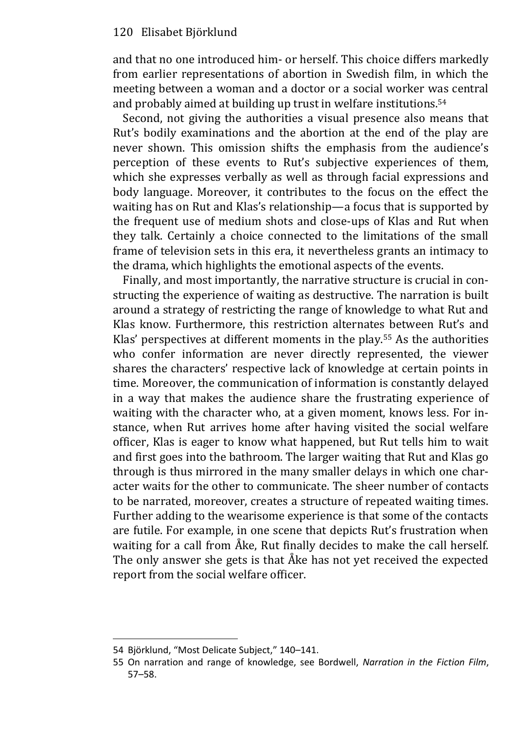and that no one introduced him- or herself. This choice differs markedly from earlier representations of abortion in Swedish film, in which the meeting between a woman and a doctor or a social worker was central and probably aimed at building up trust in welfare institutions.<sup>54</sup>

Second, not giving the authorities a visual presence also means that Rut's bodily examinations and the abortion at the end of the play are never shown. This omission shifts the emphasis from the audience's perception of these events to Rut's subjective experiences of them, which she expresses verbally as well as through facial expressions and body language. Moreover, it contributes to the focus on the effect the waiting has on Rut and Klas's relationship—a focus that is supported by the frequent use of medium shots and close-ups of Klas and Rut when they talk. Certainly a choice connected to the limitations of the small frame of television sets in this era, it nevertheless grants an intimacy to the drama, which highlights the emotional aspects of the events.

Finally, and most importantly, the narrative structure is crucial in constructing the experience of waiting as destructive. The narration is built around a strategy of restricting the range of knowledge to what Rut and Klas know. Furthermore, this restriction alternates between Rut's and Klas' perspectives at different moments in the play.<sup>55</sup> As the authorities who confer information are never directly represented, the viewer shares the characters' respective lack of knowledge at certain points in time. Moreover, the communication of information is constantly delayed in a way that makes the audience share the frustrating experience of waiting with the character who, at a given moment, knows less. For instance, when Rut arrives home after having visited the social welfare officer, Klas is eager to know what happened, but Rut tells him to wait and first goes into the bathroom. The larger waiting that Rut and Klas go through is thus mirrored in the many smaller delays in which one character waits for the other to communicate. The sheer number of contacts to be narrated, moreover, creates a structure of repeated waiting times. Further adding to the wearisome experience is that some of the contacts are futile. For example, in one scene that depicts Rut's frustration when waiting for a call from Åke, Rut finally decides to make the call herself. The only answer she gets is that Åke has not yet received the expected report from the social welfare officer.

<sup>54</sup> Björklund, "Most Delicate Subject," 140–141.

<sup>55</sup> On narration and range of knowledge, see Bordwell, *Narration in the Fiction Film*, 57–58.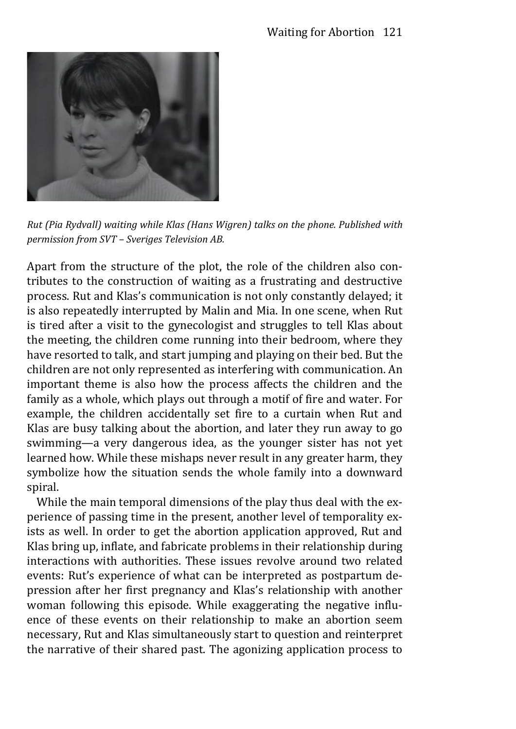

*Rut (Pia Rydvall) waiting while Klas (Hans Wigren) talks on the phone. Published with permission from SVT – Sveriges Television AB.*

Apart from the structure of the plot, the role of the children also contributes to the construction of waiting as a frustrating and destructive process. Rut and Klas's communication is not only constantly delayed; it is also repeatedly interrupted by Malin and Mia. In one scene, when Rut is tired after a visit to the gynecologist and struggles to tell Klas about the meeting, the children come running into their bedroom, where they have resorted to talk, and start jumping and playing on their bed. But the children are not only represented as interfering with communication. An important theme is also how the process affects the children and the family as a whole, which plays out through a motif of fire and water. For example, the children accidentally set fire to a curtain when Rut and Klas are busy talking about the abortion, and later they run away to go swimming—a very dangerous idea, as the younger sister has not yet learned how. While these mishaps never result in any greater harm, they symbolize how the situation sends the whole family into a downward spiral.

While the main temporal dimensions of the play thus deal with the experience of passing time in the present, another level of temporality exists as well. In order to get the abortion application approved, Rut and Klas bring up, inflate, and fabricate problems in their relationship during interactions with authorities. These issues revolve around two related events: Rut's experience of what can be interpreted as postpartum depression after her first pregnancy and Klas's relationship with another woman following this episode. While exaggerating the negative influence of these events on their relationship to make an abortion seem necessary, Rut and Klas simultaneously start to question and reinterpret the narrative of their shared past. The agonizing application process to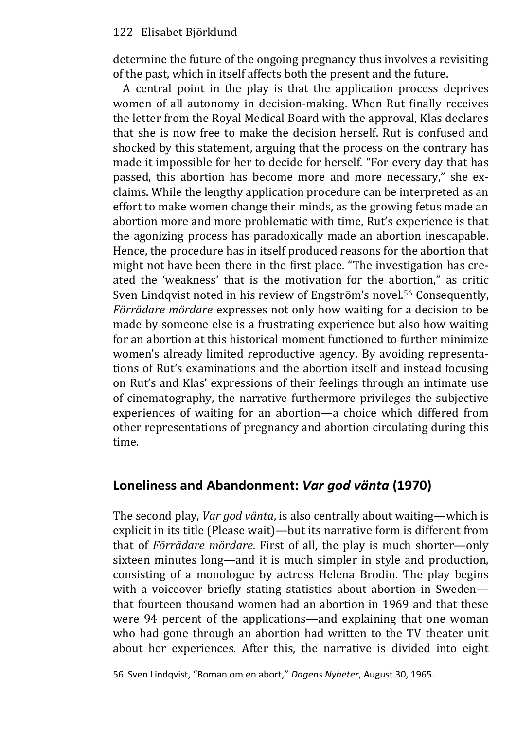determine the future of the ongoing pregnancy thus involves a revisiting of the past, which in itself affects both the present and the future.

A central point in the play is that the application process deprives women of all autonomy in decision-making. When Rut finally receives the letter from the Royal Medical Board with the approval, Klas declares that she is now free to make the decision herself. Rut is confused and shocked by this statement, arguing that the process on the contrary has made it impossible for her to decide for herself. "For every day that has passed, this abortion has become more and more necessary," she exclaims. While the lengthy application procedure can be interpreted as an effort to make women change their minds, as the growing fetus made an abortion more and more problematic with time, Rut's experience is that the agonizing process has paradoxically made an abortion inescapable. Hence, the procedure has in itself produced reasons for the abortion that might not have been there in the first place. "The investigation has created the 'weakness' that is the motivation for the abortion," as critic Sven Lindqvist noted in his review of Engström's novel.<sup>56</sup> Consequently, *Förrädare mördare* expresses not only how waiting for a decision to be made by someone else is a frustrating experience but also how waiting for an abortion at this historical moment functioned to further minimize women's already limited reproductive agency. By avoiding representations of Rut's examinations and the abortion itself and instead focusing on Rut's and Klas' expressions of their feelings through an intimate use of cinematography, the narrative furthermore privileges the subjective experiences of waiting for an abortion—a choice which differed from other representations of pregnancy and abortion circulating during this time.

# **Loneliness and Abandonment:** *Var god vänta* **(1970)**

The second play, *Var god vänta*, is also centrally about waiting—which is explicit in its title (Please wait)—but its narrative form is different from that of *Förrädare mördare*. First of all, the play is much shorter—only sixteen minutes long—and it is much simpler in style and production, consisting of a monologue by actress Helena Brodin. The play begins with a voiceover briefly stating statistics about abortion in Sweden that fourteen thousand women had an abortion in 1969 and that these were 94 percent of the applications—and explaining that one woman who had gone through an abortion had written to the TV theater unit about her experiences. After this, the narrative is divided into eight

<sup>56</sup> Sven Lindqvist, "Roman om en abort," *Dagens Nyheter*, August 30, 1965.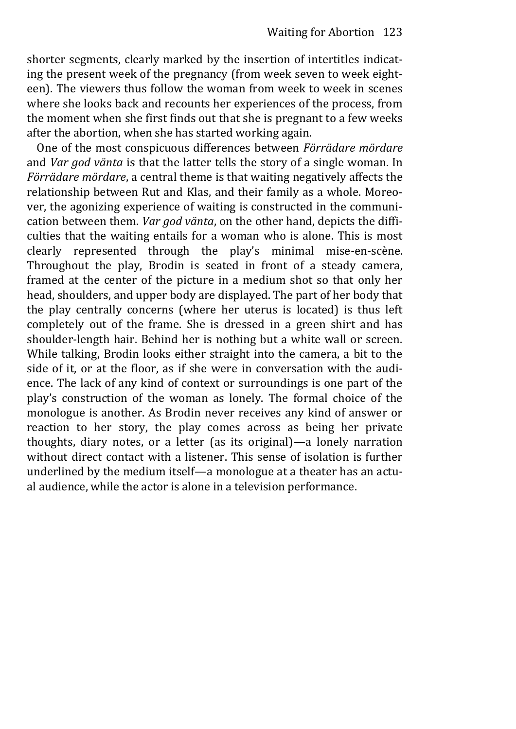shorter segments, clearly marked by the insertion of intertitles indicating the present week of the pregnancy (from week seven to week eighteen). The viewers thus follow the woman from week to week in scenes where she looks back and recounts her experiences of the process, from the moment when she first finds out that she is pregnant to a few weeks after the abortion, when she has started working again.

One of the most conspicuous differences between *Förrädare mördare* and *Var god vänta* is that the latter tells the story of a single woman. In *Förrädare mördare*, a central theme is that waiting negatively affects the relationship between Rut and Klas, and their family as a whole. Moreover, the agonizing experience of waiting is constructed in the communication between them. *Var god vänta*, on the other hand, depicts the difficulties that the waiting entails for a woman who is alone. This is most clearly represented through the play's minimal mise-en-scène. Throughout the play, Brodin is seated in front of a steady camera, framed at the center of the picture in a medium shot so that only her head, shoulders, and upper body are displayed. The part of her body that the play centrally concerns (where her uterus is located) is thus left completely out of the frame. She is dressed in a green shirt and has shoulder-length hair. Behind her is nothing but a white wall or screen. While talking, Brodin looks either straight into the camera, a bit to the side of it, or at the floor, as if she were in conversation with the audience. The lack of any kind of context or surroundings is one part of the play's construction of the woman as lonely. The formal choice of the monologue is another. As Brodin never receives any kind of answer or reaction to her story, the play comes across as being her private thoughts, diary notes, or a letter (as its original)—a lonely narration without direct contact with a listener. This sense of isolation is further underlined by the medium itself—a monologue at a theater has an actual audience, while the actor is alone in a television performance.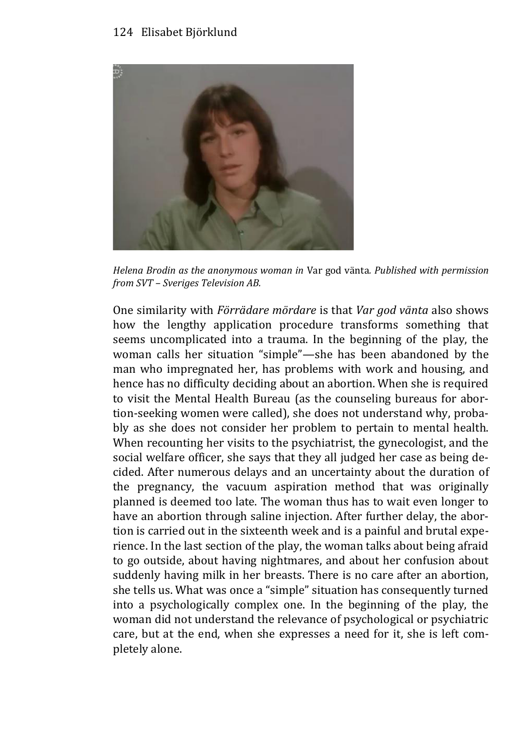

*Helena Brodin as the anonymous woman in* Var god vänta*. Published with permission from SVT – Sveriges Television AB.* 

One similarity with *Förrädare mördare* is that *Var god vänta* also shows how the lengthy application procedure transforms something that seems uncomplicated into a trauma. In the beginning of the play, the woman calls her situation "simple"—she has been abandoned by the man who impregnated her, has problems with work and housing, and hence has no difficulty deciding about an abortion. When she is required to visit the Mental Health Bureau (as the counseling bureaus for abortion-seeking women were called), she does not understand why, probably as she does not consider her problem to pertain to mental health. When recounting her visits to the psychiatrist, the gynecologist, and the social welfare officer, she says that they all judged her case as being decided. After numerous delays and an uncertainty about the duration of the pregnancy, the vacuum aspiration method that was originally planned is deemed too late. The woman thus has to wait even longer to have an abortion through saline injection. After further delay, the abortion is carried out in the sixteenth week and is a painful and brutal experience. In the last section of the play, the woman talks about being afraid to go outside, about having nightmares, and about her confusion about suddenly having milk in her breasts. There is no care after an abortion, she tells us. What was once a "simple" situation has consequently turned into a psychologically complex one. In the beginning of the play, the woman did not understand the relevance of psychological or psychiatric care, but at the end, when she expresses a need for it, she is left completely alone.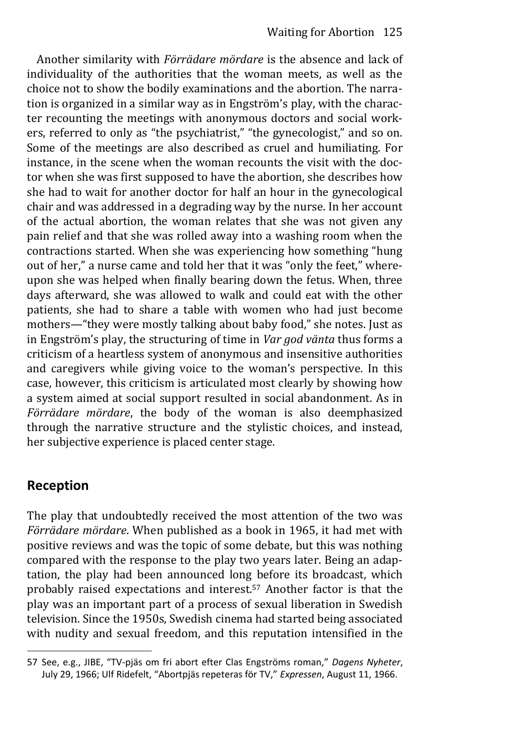Another similarity with *Förrädare mördare* is the absence and lack of individuality of the authorities that the woman meets, as well as the choice not to show the bodily examinations and the abortion. The narration is organized in a similar way as in Engström's play, with the character recounting the meetings with anonymous doctors and social workers, referred to only as "the psychiatrist," "the gynecologist," and so on. Some of the meetings are also described as cruel and humiliating. For instance, in the scene when the woman recounts the visit with the doctor when she was first supposed to have the abortion, she describes how she had to wait for another doctor for half an hour in the gynecological chair and was addressed in a degrading way by the nurse. In her account of the actual abortion, the woman relates that she was not given any pain relief and that she was rolled away into a washing room when the contractions started. When she was experiencing how something "hung out of her," a nurse came and told her that it was "only the feet," whereupon she was helped when finally bearing down the fetus. When, three days afterward, she was allowed to walk and could eat with the other patients, she had to share a table with women who had just become mothers—"they were mostly talking about baby food," she notes. Just as in Engström's play, the structuring of time in *Var god vänta* thus forms a criticism of a heartless system of anonymous and insensitive authorities and caregivers while giving voice to the woman's perspective. In this case, however, this criticism is articulated most clearly by showing how a system aimed at social support resulted in social abandonment. As in *Förrädare mördare*, the body of the woman is also deemphasized through the narrative structure and the stylistic choices, and instead, her subjective experience is placed center stage.

## **Reception**

The play that undoubtedly received the most attention of the two was *Förrädare mördare*. When published as a book in 1965, it had met with positive reviews and was the topic of some debate, but this was nothing compared with the response to the play two years later. Being an adaptation, the play had been announced long before its broadcast, which probably raised expectations and interest.57 Another factor is that the play was an important part of a process of sexual liberation in Swedish television. Since the 1950s, Swedish cinema had started being associated with nudity and sexual freedom, and this reputation intensified in the

<sup>57</sup> See, e.g., JIBE, "TV-pjäs om fri abort efter Clas Engströms roman," *Dagens Nyheter*, July 29, 1966; Ulf Ridefelt, "Abortpjäs repeteras för TV," *Expressen*, August 11, 1966.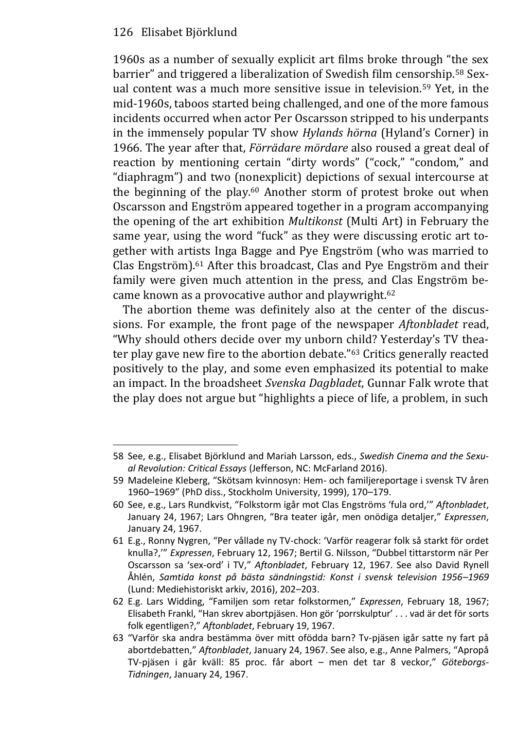1960s as a number of sexually explicit art films broke through "the sex barrier" and triggered a liberalization of Swedish film censorship.<sup>58</sup> Sexual content was a much more sensitive issue in television.59 Yet, in the mid-1960s, taboos started being challenged, and one of the more famous incidents occurred when actor Per Oscarsson stripped to his underpants in the immensely popular TV show *Hylands hörna* (Hyland's Corner) in 1966. The year after that, *Förrädare mördare* also roused a great deal of reaction by mentioning certain "dirty words" ("cock," "condom," and "diaphragm") and two (nonexplicit) depictions of sexual intercourse at the beginning of the play.<sup>60</sup> Another storm of protest broke out when Oscarsson and Engström appeared together in a program accompanying the opening of the art exhibition *Multikonst* (Multi Art) in February the same year, using the word "fuck" as they were discussing erotic art together with artists Inga Bagge and Pye Engström (who was married to Clas Engström).61 After this broadcast, Clas and Pye Engström and their family were given much attention in the press, and Clas Engström became known as a provocative author and playwright.<sup>62</sup>

The abortion theme was definitely also at the center of the discussions. For example, the front page of the newspaper *Aftonbladet* read, "Why should others decide over my unborn child? Yesterday's TV theater play gave new fire to the abortion debate."<sup>63</sup> Critics generally reacted positively to the play, and some even emphasized its potential to make an impact. In the broadsheet *Svenska Dagbladet*, Gunnar Falk wrote that the play does not argue but "highlights a piece of life, a problem, in such

<sup>58</sup> See, e.g., Elisabet Björklund and Mariah Larsson, eds., *Swedish Cinema and the Sexual Revolution: Critical Essays* (Jefferson, NC: McFarland 2016).

<sup>59</sup> Madeleine Kleberg, "Skötsam kvinnosyn: Hem- och familjereportage i svensk TV åren 1960–1969" (PhD diss., Stockholm University, 1999), 170–179.

<sup>60</sup> See, e.g., Lars Rundkvist, "Folkstorm igår mot Clas Engströms 'fula ord,'" *Aftonbladet*, January 24, 1967; Lars Ohngren, "Bra teater igår, men onödiga detaljer," *Expressen*, January 24, 1967.

<sup>61</sup> E.g., Ronny Nygren, "Per vållade ny TV-chock: 'Varför reagerar folk så starkt för ordet knulla?,'" *Expressen*, February 12, 1967; Bertil G. Nilsson, "Dubbel tittarstorm när Per Oscarsson sa 'sex-ord' i TV," *Aftonbladet*, February 12, 1967. See also David Rynell Åhlén, *Samtida konst på bästa sändningstid: Konst i svensk television 1956–1969* (Lund: Mediehistoriskt arkiv, 2016), 202–203.

<sup>62</sup> E.g. Lars Widding, "Familjen som retar folkstormen," *Expressen*, February 18, 1967; Elisabeth Frankl, "Han skrev abortpjäsen. Hon gör 'porrskulptur' . . . vad är det för sorts folk egentligen?," *Aftonbladet*, February 19, 1967.

<sup>63</sup> "Varför ska andra bestämma över mitt ofödda barn? Tv-pjäsen igår satte ny fart på abortdebatten," *Aftonbladet*, January 24, 1967. See also, e.g., Anne Palmers, "Apropå TV-pjäsen i går kväll: 85 proc. får abort – men det tar 8 veckor," *Göteborgs-Tidningen*, January 24, 1967.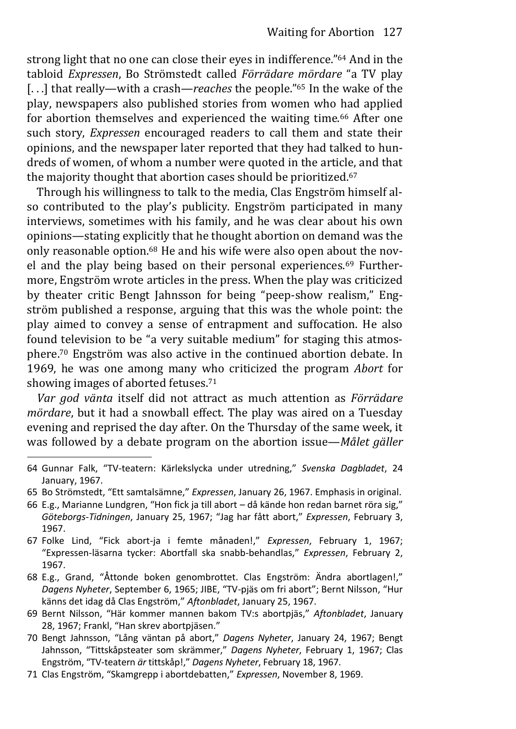strong light that no one can close their eyes in indifference."<sup>64</sup> And in the tabloid *Expressen*, Bo Strömstedt called *Förrädare mördare* "a TV play [...] that really—with a crash—*reaches* the people."<sup>65</sup> In the wake of the play, newspapers also published stories from women who had applied for abortion themselves and experienced the waiting time.<sup>66</sup> After one such story, *Expressen* encouraged readers to call them and state their opinions, and the newspaper later reported that they had talked to hundreds of women, of whom a number were quoted in the article, and that the majority thought that abortion cases should be prioritized.<sup>67</sup>

Through his willingness to talk to the media, Clas Engström himself also contributed to the play's publicity. Engström participated in many interviews, sometimes with his family, and he was clear about his own opinions—stating explicitly that he thought abortion on demand was the only reasonable option.68 He and his wife were also open about the novel and the play being based on their personal experiences.69 Furthermore, Engström wrote articles in the press. When the play was criticized by theater critic Bengt Jahnsson for being "peep-show realism," Engström published a response, arguing that this was the whole point: the play aimed to convey a sense of entrapment and suffocation. He also found television to be "a very suitable medium" for staging this atmosphere.70 Engström was also active in the continued abortion debate. In 1969, he was one among many who criticized the program *Abort* for showing images of aborted fetuses.<sup>71</sup>

*Var god vänta* itself did not attract as much attention as *Förrädare mördare*, but it had a snowball effect. The play was aired on a Tuesday evening and reprised the day after. On the Thursday of the same week, it was followed by a debate program on the abortion issue—*Målet gäller* 

- 64 Gunnar Falk, "TV-teatern: Kärlekslycka under utredning," *Svenska Dagbladet*, 24 January, 1967.
- 65 Bo Strömstedt, "Ett samtalsämne," *Expressen*, January 26, 1967. Emphasis in original.
- 66 E.g., Marianne Lundgren, "Hon fick ja till abort då kände hon redan barnet röra sig," *Göteborgs-Tidningen*, January 25, 1967; "Jag har fått abort," *Expressen*, February 3, 1967.
- 67 Folke Lind, "Fick abort-ja i femte månaden!," *Expressen*, February 1, 1967; "Expressen-läsarna tycker: Abortfall ska snabb-behandlas," *Expressen*, February 2, 1967.
- 68 E.g., Grand, "Åttonde boken genombrottet. Clas Engström: Ändra abortlagen!," *Dagens Nyheter*, September 6, 1965; JIBE, "TV-pjäs om fri abort"; Bernt Nilsson, "Hur känns det idag då Clas Engström," *Aftonbladet*, January 25, 1967.
- 69 Bernt Nilsson, "Här kommer mannen bakom TV:s abortpjäs," *Aftonbladet*, January 28, 1967; Frankl, "Han skrev abortpjäsen."
- 70 Bengt Jahnsson, "Lång väntan på abort," *Dagens Nyheter*, January 24, 1967; Bengt Jahnsson, "Tittskåpsteater som skrämmer," *Dagens Nyheter*, February 1, 1967; Clas Engström, "TV-teatern *är* tittskåp!," *Dagens Nyheter*, February 18, 1967.
- 71 Clas Engström, "Skamgrepp i abortdebatten," *Expressen*, November 8, 1969.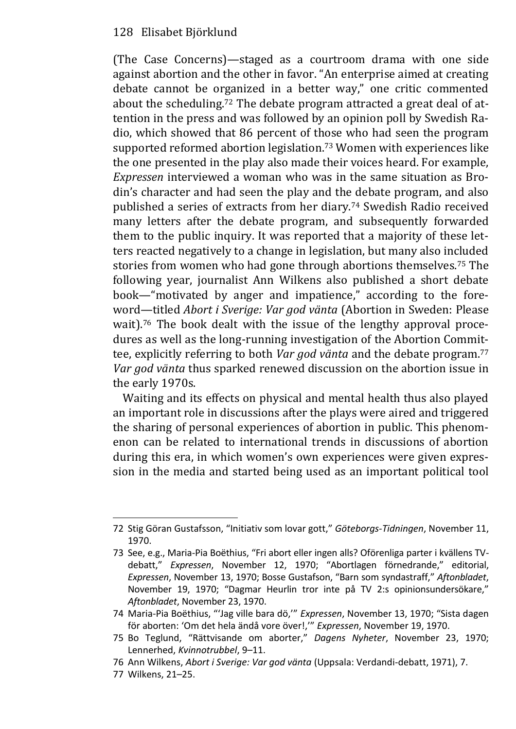(The Case Concerns)—staged as a courtroom drama with one side against abortion and the other in favor. "An enterprise aimed at creating debate cannot be organized in a better way," one critic commented about the scheduling.72 The debate program attracted a great deal of attention in the press and was followed by an opinion poll by Swedish Radio, which showed that 86 percent of those who had seen the program supported reformed abortion legislation.73 Women with experiences like the one presented in the play also made their voices heard. For example, *Expressen* interviewed a woman who was in the same situation as Brodin's character and had seen the play and the debate program, and also published a series of extracts from her diary.74 Swedish Radio received many letters after the debate program, and subsequently forwarded them to the public inquiry. It was reported that a majority of these letters reacted negatively to a change in legislation, but many also included stories from women who had gone through abortions themselves.75 The following year, journalist Ann Wilkens also published a short debate book—"motivated by anger and impatience," according to the foreword—titled *Abort i Sverige: Var god vänta* (Abortion in Sweden: Please wait).<sup>76</sup> The book dealt with the issue of the lengthy approval procedures as well as the long-running investigation of the Abortion Committee, explicitly referring to both *Var god vänta* and the debate program.<sup>77</sup> *Var god vänta* thus sparked renewed discussion on the abortion issue in the early 1970s.

Waiting and its effects on physical and mental health thus also played an important role in discussions after the plays were aired and triggered the sharing of personal experiences of abortion in public. This phenomenon can be related to international trends in discussions of abortion during this era, in which women's own experiences were given expression in the media and started being used as an important political tool

<sup>72</sup> Stig Göran Gustafsson, "Initiativ som lovar gott," *Göteborgs-Tidningen*, November 11, 1970.

<sup>73</sup> See, e.g., Maria-Pia Boëthius, "Fri abort eller ingen alls? Oförenliga parter i kvällens TVdebatt," *Expressen*, November 12, 1970; "Abortlagen förnedrande," editorial, *Expressen*, November 13, 1970; Bosse Gustafson, "Barn som syndastraff," *Aftonbladet*, November 19, 1970; "Dagmar Heurlin tror inte på TV 2:s opinionsundersökare," *Aftonbladet*, November 23, 1970.

<sup>74</sup> Maria-Pia Boëthius, "'Jag ville bara dö,'" *Expressen*, November 13, 1970; "Sista dagen för aborten: 'Om det hela ändå vore över!,'" *Expressen*, November 19, 1970.

<sup>75</sup> Bo Teglund, "Rättvisande om aborter," *Dagens Nyheter*, November 23, 1970; Lennerhed, *Kvinnotrubbel*, 9–11.

<sup>76</sup> Ann Wilkens, *Abort i Sverige: Var god vänta* (Uppsala: Verdandi-debatt, 1971), 7.

<sup>77</sup> Wilkens, 21–25.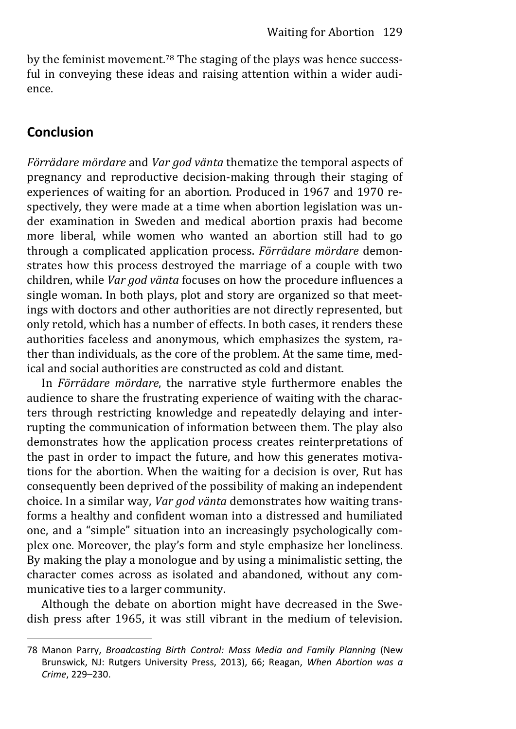by the feminist movement.78 The staging of the plays was hence successful in conveying these ideas and raising attention within a wider audience.

## **Conclusion**

*Förrädare mördare* and *Var god vänta* thematize the temporal aspects of pregnancy and reproductive decision-making through their staging of experiences of waiting for an abortion. Produced in 1967 and 1970 respectively, they were made at a time when abortion legislation was under examination in Sweden and medical abortion praxis had become more liberal, while women who wanted an abortion still had to go through a complicated application process. *Förrädare mördare* demonstrates how this process destroyed the marriage of a couple with two children, while *Var god vänta* focuses on how the procedure influences a single woman. In both plays, plot and story are organized so that meetings with doctors and other authorities are not directly represented, but only retold, which has a number of effects. In both cases, it renders these authorities faceless and anonymous, which emphasizes the system, rather than individuals, as the core of the problem. At the same time, medical and social authorities are constructed as cold and distant.

In *Förrädare mördare*, the narrative style furthermore enables the audience to share the frustrating experience of waiting with the characters through restricting knowledge and repeatedly delaying and interrupting the communication of information between them. The play also demonstrates how the application process creates reinterpretations of the past in order to impact the future, and how this generates motivations for the abortion. When the waiting for a decision is over, Rut has consequently been deprived of the possibility of making an independent choice. In a similar way, *Var god vänta* demonstrates how waiting transforms a healthy and confident woman into a distressed and humiliated one, and a "simple" situation into an increasingly psychologically complex one. Moreover, the play's form and style emphasize her loneliness. By making the play a monologue and by using a minimalistic setting, the character comes across as isolated and abandoned, without any communicative ties to a larger community.

Although the debate on abortion might have decreased in the Swedish press after 1965, it was still vibrant in the medium of television.

<sup>78</sup> Manon Parry, *Broadcasting Birth Control: Mass Media and Family Planning* (New Brunswick, NJ: Rutgers University Press, 2013), 66; Reagan, *When Abortion was a Crime*, 229–230.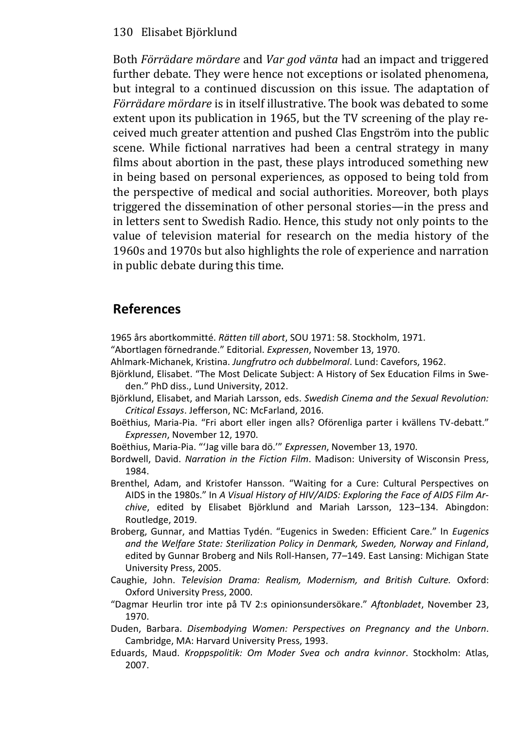Both *Förrädare mördare* and *Var god vänta* had an impact and triggered further debate. They were hence not exceptions or isolated phenomena, but integral to a continued discussion on this issue. The adaptation of *Förrädare mördare* is in itself illustrative. The book was debated to some extent upon its publication in 1965, but the TV screening of the play received much greater attention and pushed Clas Engström into the public scene. While fictional narratives had been a central strategy in many films about abortion in the past, these plays introduced something new in being based on personal experiences, as opposed to being told from the perspective of medical and social authorities. Moreover, both plays triggered the dissemination of other personal stories—in the press and in letters sent to Swedish Radio. Hence, this study not only points to the value of television material for research on the media history of the 1960s and 1970s but also highlights the role of experience and narration in public debate during this time.

## **References**

1965 års abortkommitté. *Rätten till abort*, SOU 1971: 58. Stockholm, 1971.

- "Abortlagen förnedrande." Editorial. *Expressen*, November 13, 1970.
- Ahlmark-Michanek, Kristina. *Jungfrutro och dubbelmoral*. Lund: Cavefors, 1962.
- Björklund, Elisabet. "The Most Delicate Subject: A History of Sex Education Films in Sweden." PhD diss., Lund University, 2012.
- Björklund, Elisabet, and Mariah Larsson, eds. *Swedish Cinema and the Sexual Revolution: Critical Essays*. Jefferson, NC: McFarland, 2016.
- Boëthius, Maria-Pia. "Fri abort eller ingen alls? Oförenliga parter i kvällens TV-debatt." *Expressen*, November 12, 1970.

Boëthius, Maria-Pia. "'Jag ville bara dö.'" *Expressen*, November 13, 1970.

- Bordwell, David. *Narration in the Fiction Film*. Madison: University of Wisconsin Press, 1984.
- Brenthel, Adam, and Kristofer Hansson. "Waiting for a Cure: Cultural Perspectives on AIDS in the 1980s." In *A Visual History of HIV/AIDS: Exploring the Face of AIDS Film Archive*, edited by Elisabet Björklund and Mariah Larsson, 123–134. Abingdon: Routledge, 2019.
- Broberg, Gunnar, and Mattias Tydén. "Eugenics in Sweden: Efficient Care." In *Eugenics and the Welfare State: Sterilization Policy in Denmark, Sweden, Norway and Finland*, edited by Gunnar Broberg and Nils Roll-Hansen, 77–149. East Lansing: Michigan State University Press, 2005.
- Caughie, John. *Television Drama: Realism, Modernism, and British Culture.* Oxford: Oxford University Press, 2000.
- "Dagmar Heurlin tror inte på TV 2:s opinionsundersökare." *Aftonbladet*, November 23, 1970.
- Duden, Barbara. *Disembodying Women: Perspectives on Pregnancy and the Unborn*. Cambridge, MA: Harvard University Press, 1993.
- Eduards, Maud. *Kroppspolitik: Om Moder Svea och andra kvinnor*. Stockholm: Atlas, 2007.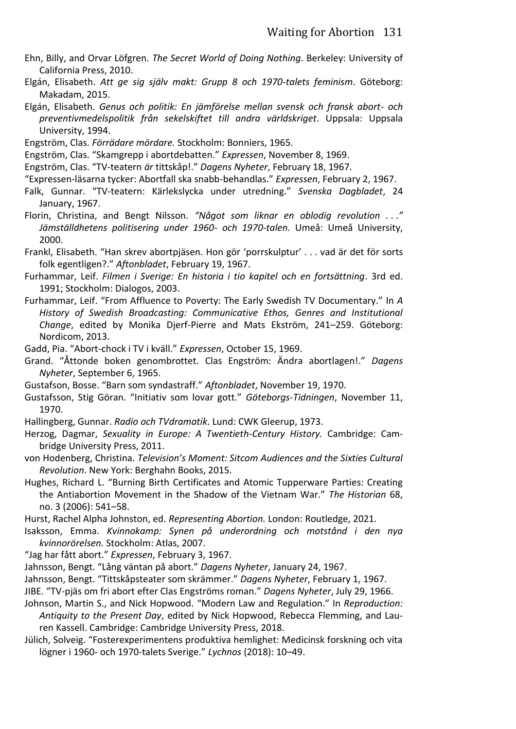- Ehn, Billy, and Orvar Löfgren. *The Secret World of Doing Nothing*. Berkeley: University of California Press, 2010.
- Elgán, Elisabeth. *Att ge sig själv makt: Grupp 8 och 1970-talets feminism*. Göteborg: Makadam, 2015.
- Elgán, Elisabeth. *Genus och politik: En jämförelse mellan svensk och fransk abort- och preventivmedelspolitik från sekelskiftet till andra världskriget*. Uppsala: Uppsala University, 1994.

Engström, Clas. *Förrädare mördare.* Stockholm: Bonniers, 1965.

Engström, Clas. "Skamgrepp i abortdebatten." *Expressen*, November 8, 1969.

Engström, Clas. "TV-teatern *är* tittskåp!." *Dagens Nyheter*, February 18, 1967.

"Expressen-läsarna tycker: Abortfall ska snabb-behandlas." *Expressen*, February 2, 1967.

- Falk, Gunnar. "TV-teatern: Kärlekslycka under utredning." *Svenska Dagbladet*, 24 January, 1967.
- Florin, Christina, and Bengt Nilsson. *"Något som liknar en oblodig revolution . . ." Jämställdhetens politisering under 1960- och 1970-talen.* Umeå: Umeå University, 2000.
- Frankl, Elisabeth. "Han skrev abortpjäsen. Hon gör 'porrskulptur' . . . vad är det för sorts folk egentligen?." *Aftonbladet*, February 19, 1967.
- Furhammar, Leif. *Filmen i Sverige: En historia i tio kapitel och en fortsättning*. 3rd ed. 1991; Stockholm: Dialogos, 2003.
- Furhammar, Leif. "From Affluence to Poverty: The Early Swedish TV Documentary." In *A History of Swedish Broadcasting: Communicative Ethos, Genres and Institutional Change*, edited by Monika Djerf-Pierre and Mats Ekström, 241–259. Göteborg: Nordicom, 2013.

Gadd, Pia. "Abort-chock i TV i kväll." *Expressen*, October 15, 1969.

- Grand. "Åttonde boken genombrottet. Clas Engström: Ändra abortlagen!." *Dagens Nyheter*, September 6, 1965.
- Gustafson, Bosse. "Barn som syndastraff." *Aftonbladet*, November 19, 1970.
- Gustafsson, Stig Göran. "Initiativ som lovar gott." *Göteborgs-Tidningen*, November 11, 1970.

Hallingberg, Gunnar. *Radio och TVdramatik*. Lund: CWK Gleerup, 1973.

- Herzog, Dagmar, *Sexuality in Europe: A Twentieth-Century History.* Cambridge: Cambridge University Press, 2011.
- von Hodenberg, Christina. *Television's Moment: Sitcom Audiences and the Sixties Cultural Revolution*. New York: Berghahn Books, 2015.
- Hughes, Richard L. "Burning Birth Certificates and Atomic Tupperware Parties: Creating the Antiabortion Movement in the Shadow of the Vietnam War." *The Historian* 68, no. 3 (2006): 541–58.

Hurst, Rachel Alpha Johnston, ed. *Representing Abortion.* London: Routledge, 2021.

- Isaksson, Emma. *Kvinnokamp: Synen på underordning och motstånd i den nya kvinnorörelsen.* Stockholm: Atlas, 2007.
- "Jag har fått abort." *Expressen*, February 3, 1967.
- Jahnsson, Bengt. "Lång väntan på abort." *Dagens Nyheter*, January 24, 1967.

Jahnsson, Bengt. "Tittskåpsteater som skrämmer." *Dagens Nyheter*, February 1, 1967.

- JIBE. "TV-pjäs om fri abort efter Clas Engströms roman." *Dagens Nyheter*, July 29, 1966.
- Johnson, Martin S., and Nick Hopwood. "Modern Law and Regulation." In *Reproduction: Antiquity to the Present Day*, edited by Nick Hopwood, Rebecca Flemming, and Lauren Kassell. Cambridge: Cambridge University Press, 2018.
- Jülich, Solveig. "Fosterexperimentens produktiva hemlighet: Medicinsk forskning och vita lögner i 1960- och 1970-talets Sverige." *Lychnos* (2018): 10–49.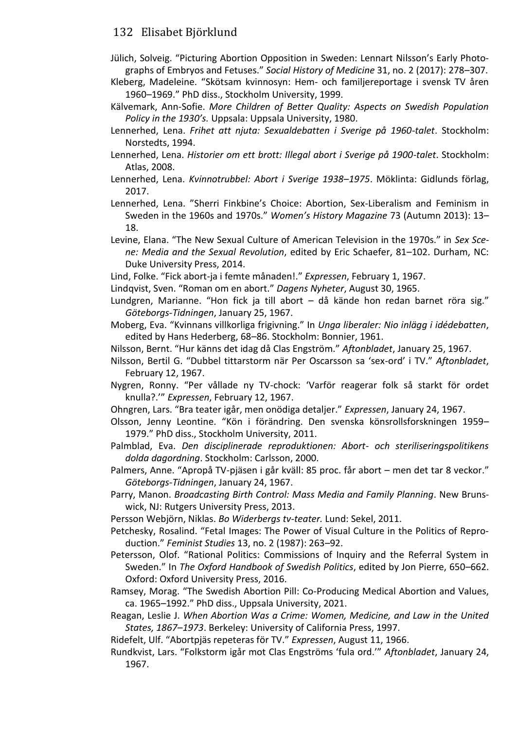- Jülich, Solveig. "Picturing Abortion Opposition in Sweden: Lennart Nilsson's Early Photo‐ graphs of Embryos and Fetuses." *Social History of Medicine* 31, no. 2 (2017): 278–307.
- Kleberg, Madeleine. "Skötsam kvinnosyn: Hem- och familjereportage i svensk TV åren 1960–1969." PhD diss., Stockholm University, 1999.
- Kälvemark, Ann-Sofie. *More Children of Better Quality: Aspects on Swedish Population Policy in the 1930's.* Uppsala: Uppsala University, 1980.
- Lennerhed, Lena. *Frihet att njuta: Sexualdebatten i Sverige på 1960-talet*. Stockholm: Norstedts, 1994.
- Lennerhed, Lena. *Historier om ett brott: Illegal abort i Sverige på 1900-talet*. Stockholm: Atlas, 2008.
- Lennerhed, Lena. *Kvinnotrubbel: Abort i Sverige 1938–1975*. Möklinta: Gidlunds förlag, 2017.
- Lennerhed, Lena. "Sherri Finkbine's Choice: Abortion, Sex-Liberalism and Feminism in Sweden in the 1960s and 1970s." *Women's History Magazine* 73 (Autumn 2013): 13– 18.
- Levine, Elana. "The New Sexual Culture of American Television in the 1970s." in *Sex Scene: Media and the Sexual Revolution*, edited by Eric Schaefer, 81–102. Durham, NC: Duke University Press, 2014.
- Lind, Folke. "Fick abort-ja i femte månaden!." *Expressen*, February 1, 1967.
- Lindqvist, Sven. "Roman om en abort." *Dagens Nyheter*, August 30, 1965.
- Lundgren, Marianne. "Hon fick ja till abort då kände hon redan barnet röra sig." *Göteborgs-Tidningen*, January 25, 1967.
- Moberg, Eva. "Kvinnans villkorliga frigivning." In *Unga liberaler: Nio inlägg i idédebatten*, edited by Hans Hederberg, 68–86. Stockholm: Bonnier, 1961.
- Nilsson, Bernt. "Hur känns det idag då Clas Engström." *Aftonbladet*, January 25, 1967.
- Nilsson, Bertil G. "Dubbel tittarstorm när Per Oscarsson sa 'sex-ord' i TV." *Aftonbladet*, February 12, 1967.
- Nygren, Ronny. "Per vållade ny TV-chock: 'Varför reagerar folk så starkt för ordet knulla?.'" *Expressen*, February 12, 1967.
- Ohngren, Lars. "Bra teater igår, men onödiga detaljer." *Expressen*, January 24, 1967.
- Olsson, Jenny Leontine. "Kön i förändring. Den svenska könsrollsforskningen 1959– 1979." PhD diss., Stockholm University, 2011.
- Palmblad, Eva. *Den disciplinerade reproduktionen: Abort- och steriliseringspolitikens dolda dagordning*. Stockholm: Carlsson, 2000.
- Palmers, Anne. "Apropå TV-pjäsen i går kväll: 85 proc. får abort men det tar 8 veckor." *Göteborgs-Tidningen*, January 24, 1967.
- Parry, Manon. *Broadcasting Birth Control: Mass Media and Family Planning*. New Brunswick, NJ: Rutgers University Press, 2013.
- Persson Webjörn, Niklas. *Bo Widerbergs tv-teater.* Lund: Sekel, 2011.
- Petchesky, Rosalind. "Fetal Images: The Power of Visual Culture in the Politics of Repro‐ duction." *Feminist Studies* 13, no. 2 (1987): 263–92.
- Petersson, Olof. "Rational Politics: Commissions of Inquiry and the Referral System in Sweden." In *The Oxford Handbook of Swedish Politics*, edited by Jon Pierre, 650–662. Oxford: Oxford University Press, 2016.
- Ramsey, Morag. "The Swedish Abortion Pill: Co-Producing Medical Abortion and Values, ca. 1965–1992." PhD diss., Uppsala University, 2021.
- Reagan, Leslie J. *When Abortion Was a Crime: Women, Medicine, and Law in the United States, 1867–1973*. Berkeley: University of California Press, 1997.
- Ridefelt, Ulf. "Abortpjäs repeteras för TV." *Expressen*, August 11, 1966.
- Rundkvist, Lars. "Folkstorm igår mot Clas Engströms 'fula ord.'" *Aftonbladet*, January 24, 1967.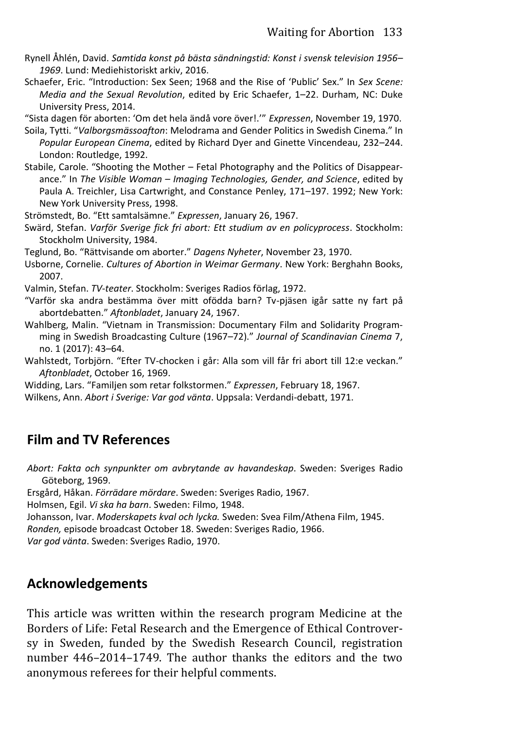- Rynell Åhlén, David. *Samtida konst på bästa sändningstid: Konst i svensk television 1956– 1969*. Lund: Mediehistoriskt arkiv, 2016.
- Schaefer, Eric. "Introduction: Sex Seen; 1968 and the Rise of 'Public' Sex." In *Sex Scene: Media and the Sexual Revolution*, edited by Eric Schaefer, 1–22. Durham, NC: Duke University Press, 2014.
- "Sista dagen för aborten: 'Om det hela ändå vore över!.'" *Expressen*, November 19, 1970.
- Soila, Tytti. "*Valborgsmässoafton*: Melodrama and Gender Politics in Swedish Cinema." In *Popular European Cinema*, edited by Richard Dyer and Ginette Vincendeau, 232–244. London: Routledge, 1992.
- Stabile, Carole. "Shooting the Mother Fetal Photography and the Politics of Disappearance." In *The Visible Woman – Imaging Technologies, Gender, and Science*, edited by Paula A. Treichler, Lisa Cartwright, and Constance Penley, 171–197. 1992; New York: New York University Press, 1998.
- Strömstedt, Bo. "Ett samtalsämne." *Expressen*, January 26, 1967.
- Swärd, Stefan. *Varför Sverige fick fri abort: Ett studium av en policyprocess*. Stockholm: Stockholm University, 1984.
- Teglund, Bo. "Rättvisande om aborter." *Dagens Nyheter*, November 23, 1970.
- Usborne, Cornelie. *Cultures of Abortion in Weimar Germany*. New York: Berghahn Books, 2007.
- Valmin, Stefan. *TV-teater*. Stockholm: Sveriges Radios förlag, 1972.
- "Varför ska andra bestämma över mitt ofödda barn? Tv-pjäsen igår satte ny fart på abortdebatten." *Aftonbladet*, January 24, 1967.
- Wahlberg, Malin. "Vietnam in Transmission: Documentary Film and Solidarity Programming in Swedish Broadcasting Culture (1967–72)." *Journal of Scandinavian Cinema* 7, no. 1 (2017): 43–64.
- Wahlstedt, Torbjörn. "Efter TV-chocken i går: Alla som vill får fri abort till 12:e veckan." *Aftonbladet*, October 16, 1969.
- Widding, Lars. "Familjen som retar folkstormen." *Expressen*, February 18, 1967. Wilkens, Ann. *Abort i Sverige: Var god vänta*. Uppsala: Verdandi-debatt, 1971.

## **Film and TV References**

*Abort: Fakta och synpunkter om avbrytande av havandeskap*. Sweden: Sveriges Radio Göteborg, 1969.

Ersgård, Håkan. *Förrädare mördare*. Sweden: Sveriges Radio, 1967.

Holmsen, Egil. *Vi ska ha barn*. Sweden: Filmo, 1948.

Johansson, Ivar. *Moderskapets kval och lycka.* Sweden: Svea Film/Athena Film, 1945.

*Ronden,* episode broadcast October 18. Sweden: Sveriges Radio, 1966.

*Var god vänta*. Sweden: Sveriges Radio, 1970.

## **Acknowledgements**

This article was written within the research program Medicine at the Borders of Life: Fetal Research and the Emergence of Ethical Controversy in Sweden, funded by the Swedish Research Council, registration number 446–2014–1749. The author thanks the editors and the two anonymous referees for their helpful comments.